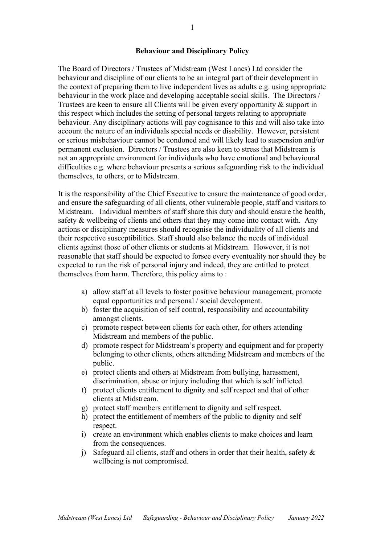#### **Behaviour and Disciplinary Policy**

The Board of Directors / Trustees of Midstream (West Lancs) Ltd consider the behaviour and discipline of our clients to be an integral part of their development in the context of preparing them to live independent lives as adults e.g. using appropriate behaviour in the work place and developing acceptable social skills. The Directors / Trustees are keen to ensure all Clients will be given every opportunity & support in this respect which includes the setting of personal targets relating to appropriate behaviour. Any disciplinary actions will pay cognisance to this and will also take into account the nature of an individuals special needs or disability. However, persistent or serious misbehaviour cannot be condoned and will likely lead to suspension and/or permanent exclusion. Directors / Trustees are also keen to stress that Midstream is not an appropriate environment for individuals who have emotional and behavioural difficulties e.g. where behaviour presents a serious safeguarding risk to the individual themselves, to others, or to Midstream.

It is the responsibility of the Chief Executive to ensure the maintenance of good order, and ensure the safeguarding of all clients, other vulnerable people, staff and visitors to Midstream. Individual members of staff share this duty and should ensure the health, safety & wellbeing of clients and others that they may come into contact with. Any actions or disciplinary measures should recognise the individuality of all clients and their respective susceptibilities. Staff should also balance the needs of individual clients against those of other clients or students at Midstream. However, it is not reasonable that staff should be expected to forsee every eventuality nor should they be expected to run the risk of personal injury and indeed, they are entitled to protect themselves from harm. Therefore, this policy aims to :

- a) allow staff at all levels to foster positive behaviour management, promote equal opportunities and personal / social development.
- b) foster the acquisition of self control, responsibility and accountability amongst clients.
- c) promote respect between clients for each other, for others attending Midstream and members of the public.
- d) promote respect for Midstream's property and equipment and for property belonging to other clients, others attending Midstream and members of the public.
- e) protect clients and others at Midstream from bullying, harassment, discrimination, abuse or injury including that which is self inflicted.
- f) protect clients entitlement to dignity and self respect and that of other clients at Midstream.
- g) protect staff members entitlement to dignity and self respect.
- h) protect the entitlement of members of the public to dignity and self respect.
- i) create an environment which enables clients to make choices and learn from the consequences.
- j) Safeguard all clients, staff and others in order that their health, safety  $\&$ wellbeing is not compromised.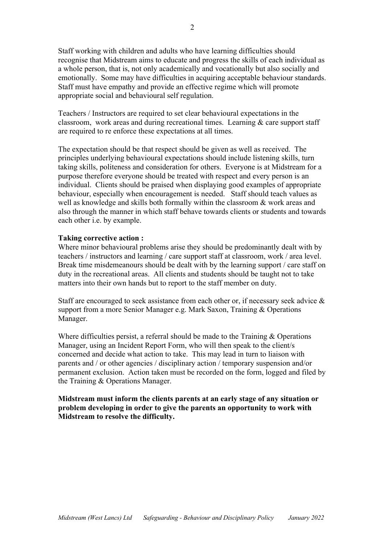Staff working with children and adults who have learning difficulties should recognise that Midstream aims to educate and progress the skills of each individual as a whole person, that is, not only academically and vocationally but also socially and emotionally. Some may have difficulties in acquiring acceptable behaviour standards. Staff must have empathy and provide an effective regime which will promote appropriate social and behavioural self regulation.

Teachers / Instructors are required to set clear behavioural expectations in the classroom, work areas and during recreational times. Learning  $\&$  care support staff are required to re enforce these expectations at all times.

The expectation should be that respect should be given as well as received. The principles underlying behavioural expectations should include listening skills, turn taking skills, politeness and consideration for others. Everyone is at Midstream for a purpose therefore everyone should be treated with respect and every person is an individual. Clients should be praised when displaying good examples of appropriate behaviour, especially when encouragement is needed. Staff should teach values as well as knowledge and skills both formally within the classroom & work areas and also through the manner in which staff behave towards clients or students and towards each other i.e. by example.

### **Taking corrective action :**

Where minor behavioural problems arise they should be predominantly dealt with by teachers / instructors and learning / care support staff at classroom, work / area level. Break time misdemeanours should be dealt with by the learning support / care staff on duty in the recreational areas. All clients and students should be taught not to take matters into their own hands but to report to the staff member on duty.

Staff are encouraged to seek assistance from each other or, if necessary seek advice & support from a more Senior Manager e.g. Mark Saxon, Training & Operations Manager.

Where difficulties persist, a referral should be made to the Training & Operations Manager, using an Incident Report Form, who will then speak to the client/s concerned and decide what action to take. This may lead in turn to liaison with parents and / or other agencies / disciplinary action / temporary suspension and/or permanent exclusion. Action taken must be recorded on the form, logged and filed by the Training & Operations Manager.

# **Midstream must inform the clients parents at an early stage of any situation or problem developing in order to give the parents an opportunity to work with Midstream to resolve the difficulty.**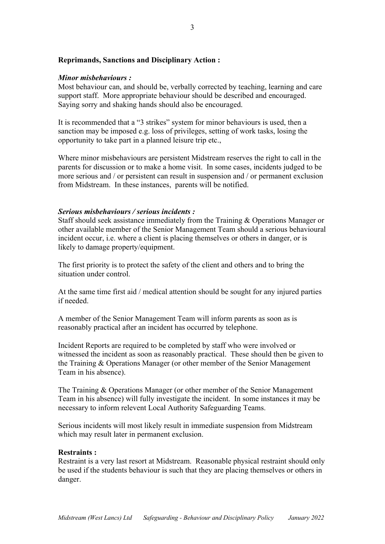## **Reprimands, Sanctions and Disciplinary Action :**

### *Minor misbehaviours :*

Most behaviour can, and should be, verbally corrected by teaching, learning and care support staff. More appropriate behaviour should be described and encouraged. Saying sorry and shaking hands should also be encouraged.

It is recommended that a "3 strikes" system for minor behaviours is used, then a sanction may be imposed e.g. loss of privileges, setting of work tasks, losing the opportunity to take part in a planned leisure trip etc.,

Where minor misbehaviours are persistent Midstream reserves the right to call in the parents for discussion or to make a home visit. In some cases, incidents judged to be more serious and / or persistent can result in suspension and / or permanent exclusion from Midstream. In these instances, parents will be notified.

#### *Serious misbehaviours / serious incidents :*

Staff should seek assistance immediately from the Training & Operations Manager or other available member of the Senior Management Team should a serious behavioural incident occur, i.e. where a client is placing themselves or others in danger, or is likely to damage property/equipment.

The first priority is to protect the safety of the client and others and to bring the situation under control.

At the same time first aid / medical attention should be sought for any injured parties if needed.

A member of the Senior Management Team will inform parents as soon as is reasonably practical after an incident has occurred by telephone.

Incident Reports are required to be completed by staff who were involved or witnessed the incident as soon as reasonably practical. These should then be given to the Training & Operations Manager (or other member of the Senior Management Team in his absence).

The Training & Operations Manager (or other member of the Senior Management Team in his absence) will fully investigate the incident. In some instances it may be necessary to inform relevent Local Authority Safeguarding Teams.

Serious incidents will most likely result in immediate suspension from Midstream which may result later in permanent exclusion.

### **Restraints :**

Restraint is a very last resort at Midstream. Reasonable physical restraint should only be used if the students behaviour is such that they are placing themselves or others in danger.